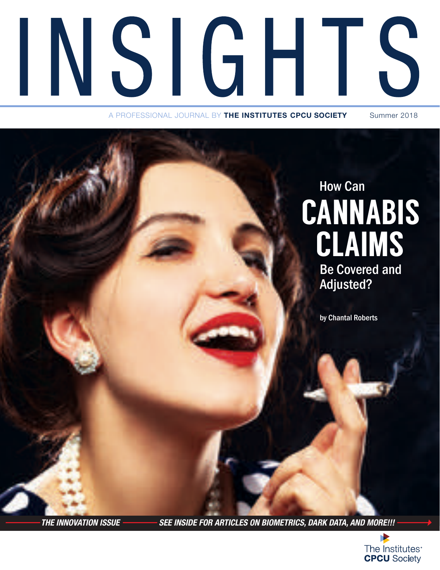

A PROFESSIONAL JOURNAL BY **THE INSTITUTES CPCU SOCIETY** Summer 2018

### **CANNABIS** CLAIMS How Can

Be Covered and Adjusted?

by Chantal Roberts

*THE INNOVATION ISSUE SEE INSIDE FOR ARTICLES ON BIOMETRICS, DARK DATA, AND MORE!!!*

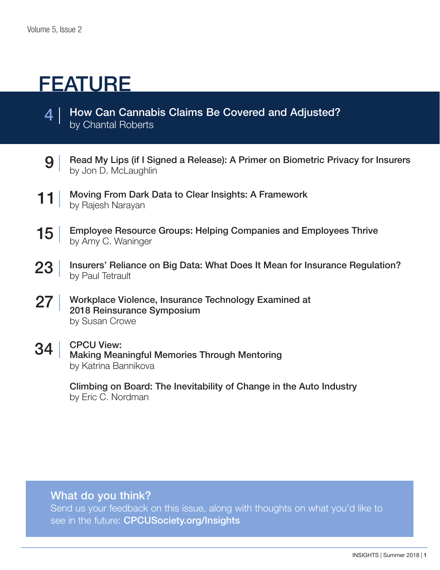### FEATURE

- How Can Cannabis Claims Be Covered and Adjusted? by Chantal Roberts  $\boldsymbol{4}$
- $9<sup>°</sup>$ Read My Lips (if I Signed a Release): A Primer on Biometric Privacy for Insurers by Jon D. McLaughlin
- 11 | Moving From Dark Data to Clear Insights: A Framework by Rajesh Narayan
- 15 | Employee Resource Groups: Helping Companies and Employees Thrive by Amy C. Waninger
- 23 | Insurers' Reliance on Big Data: What Does It Mean for Insurance Regulation? by Paul Tetrault
- 27 | Workplace Violence, Insurance Technology Examined at 2018 Reinsurance Symposium by Susan Crowe
- $34$ CPCU View: Making Meaningful Memories Through Mentoring by Katrina Bannikova

Climbing on Board: The Inevitability of Change in the Auto Industry by Eric C. Nordman

#### What do you think?

Send us your feedback on this issue, along with thoughts on what you'd like to see in the future: CPCUSociety.org/Insights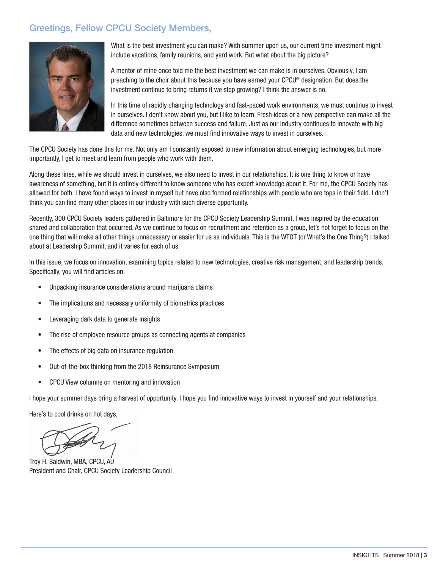#### **Greetings, Fellow CPCU Society Members,**



What is the best investment you can make? With summer upon us, our current time investment might include vacations, family reunions, and vard work. But what about the big picture?

A mentor of mine once told me the best investment we can make is in ourselves. Obviously, I am preaching to the choir about this because you have earned your CPCU® designation. But does the investment continue to bring returns if we stop growing? I think the answer is no.

In this time of rapidly changing technology and fast-paced work environments, we must continue to invest in ourselves. I don't know about you, but I like to learn. Fresh ideas or a new perspective can make all the difference sometimes between success and failure. Just as our industry continues to innovate with big data and new technologies, we must find innovative ways to invest in ourselves.

The CPCU Society has done this for me. Not only am I constantly exposed to new information about emerging technologies, but more importantly, I get to meet and learn from people who work with them.

Along these lines, while we should invest in ourselves, we also need to invest in our relationships. It is one thing to know or have awareness of something, but it is entirely different to know someone who has expert knowledge about it. For me, the CPCU Society has allowed for both. I have found ways to invest in myself but have also formed relationships with people who are tops in their field. I don't think you can find many other places in our industry with such diverse opportunity.

Recently, 300 CPCU Society leaders gathered in Baltimore for the CPCU Society Leadership Summit. I was inspired by the education shared and collaboration that occurred. As we continue to focus on recruitment and retention as a group, let's not forget to focus on the one thing that will make all other things unnecessary or easier for us as individuals. This is the WTOT (or What's the One Thing?) I talked about at Leadership Summit, and it varies for each of us.

In this issue, we focus on innovation, examining topics related to new technologies, creative risk management, and leadership trends. Specifically, you will find articles on:

- Unpacking insurance considerations around marijuana claims  $\bullet$
- The implications and necessary uniformity of biometrics practices  $\bullet$
- Leveraging dark data to generate insights
- The rise of employee resource groups as connecting agents at companies  $\bullet$
- The effects of big data on insurance regulation  $\bullet$
- Out-of-the-box thinking from the 2018 Reinsurance Symposium
- CPCU View columns on mentoring and innovation  $\bullet$

I hope your summer days bring a harvest of opportunity. I hope you find innovative ways to invest in yourself and your relationships.

Here's to cool drinks on hot days,

Troy H. Baldwin, MBA, CPCU, AU President and Chair, CPCU Society Leadership Council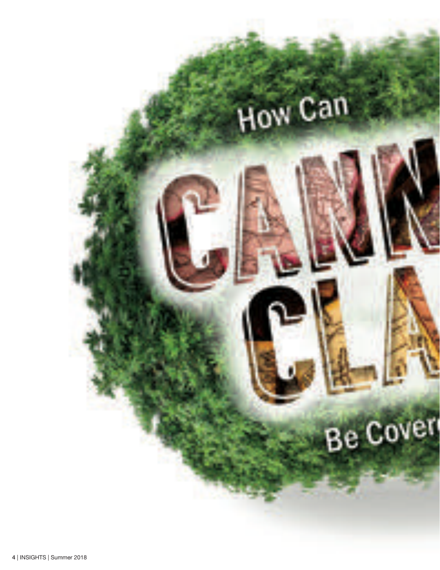## How Can

# **Be Cover**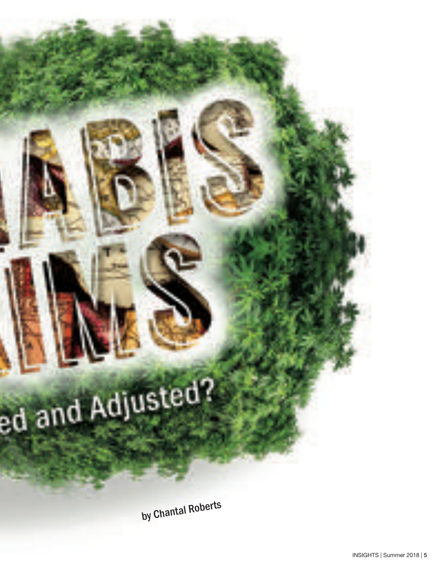ed and Adjusted?

by Chantal Roberts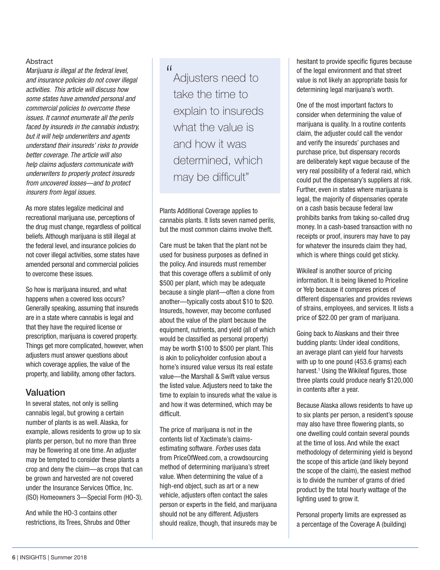#### **Abstract**

*Marijuana is illegal at the federal level, and insurance policies do not cover illegal activities. This article will discuss how some states have amended personal and commercial policies to overcome these issues. It cannot enumerate all the perils faced by insureds in the cannabis industry, but it will help underwriters and agents understand their insureds' risks to provide better coverage. The article will also help claims adjusters communicate with underwriters to properly protect insureds from uncovered losses—and to protect insurers from legal issues.* 

As more states legalize medicinal and recreational marijuana use, perceptions of the drug must change, regardless of political beliefs. Although marijuana is still illegal at the federal level, and insurance policies do not cover illegal activities, some states have amended personal and commercial policies to overcome these issues.

So how is marijuana insured, and what happens when a covered loss occurs? Generally speaking, assuming that insureds are in a state where cannabis is legal and that they have the required license or prescription, marijuana is covered property. Things get more complicated, however, when adjusters must answer questions about which coverage applies, the value of the property, and liability, among other factors.

#### Valuation

In several states, not only is selling cannabis legal, but growing a certain number of plants is as well. Alaska, for example, allows residents to grow up to six plants per person, but no more than three may be flowering at one time. An adjuster may be tempted to consider these plants a crop and deny the claim—as crops that can be grown and harvested are not covered under the Insurance Services Office, Inc. (ISO) Homeowners 3—Special Form (HO-3).

And while the HO-3 contains other restrictions, its Trees, Shrubs and Other

#### "

Adjusters need to take the time to explain to insureds what the value is and how it was determined, which may be difficult"

Plants Additional Coverage applies to cannabis plants. It lists seven named perils, but the most common claims involve theft.

Care must be taken that the plant not be used for business purposes as defined in the policy. And insureds must remember that this coverage offers a sublimit of only \$500 per plant, which may be adequate because a single plant—often a clone from another—typically costs about \$10 to \$20. Insureds, however, may become confused about the value of the plant because the equipment, nutrients, and yield (all of which would be classified as personal property) may be worth \$100 to \$500 per plant. This is akin to policyholder confusion about a home's insured value versus its real estate value—the Marshall & Swift value versus the listed value. Adjusters need to take the time to explain to insureds what the value is and how it was determined, which may be difficult.

The price of marijuana is not in the contents list of Xactimate's claimsestimating software. *Forbes* uses data from PriceOfWeed.com, a crowdsourcing method of determining marijuana's street value. When determining the value of a high-end object, such as art or a new vehicle, adjusters often contact the sales person or experts in the field, and marijuana should not be any different. Adjusters should realize, though, that insureds may be hesitant to provide specific figures because of the legal environment and that street value is not likely an appropriate basis for determining legal marijuana's worth.

One of the most important factors to consider when determining the value of marijuana is quality. In a routine contents claim, the adjuster could call the vendor and verify the insureds' purchases and purchase price, but dispensary records are deliberately kept vague because of the very real possibility of a federal raid, which could put the dispensary's suppliers at risk. Further, even in states where marijuana is legal, the majority of dispensaries operate on a cash basis because federal law prohibits banks from taking so-called drug money. In a cash-based transaction with no receipts or proof, insurers may have to pay for whatever the insureds claim they had, which is where things could get sticky.

Wikileaf is another source of pricing information. It is being likened to Priceline or Yelp because it compares prices of different dispensaries and provides reviews of strains, employees, and services. It lists a price of \$22.00 per gram of marijuana.

Going back to Alaskans and their three budding plants: Under ideal conditions, an average plant can yield four harvests with up to one pound (453.6 grams) each harvest.<sup>1</sup> Using the Wikileaf figures, those three plants could produce nearly \$120,000 in contents after a year.

Because Alaska allows residents to have up to six plants per person, a resident's spouse may also have three flowering plants, so one dwelling could contain several pounds at the time of loss. And while the exact methodology of determining yield is beyond the scope of this article (and likely beyond the scope of the claim), the easiest method is to divide the number of grams of dried product by the total hourly wattage of the lighting used to grow it.

Personal property limits are expressed as a percentage of the Coverage A (building)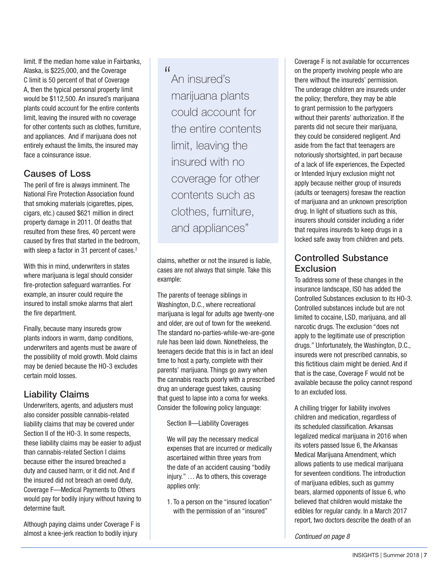limit. If the median home value in Fairbanks, Alaska, is \$225,000, and the Coverage C limit is 50 percent of that of Coverage A, then the typical personal property limit would be \$112,500. An insured's marijuana plants could account for the entire contents limit, leaving the insured with no coverage for other contents such as clothes, furniture, and appliances. And if marijuana does not entirely exhaust the limits, the insured may face a coinsurance issue.

#### Causes of Loss

The peril of fire is always imminent. The National Fire Protection Association found that smoking materials (cigarettes, pipes, cigars, etc.) caused \$621 million in direct property damage in 2011. Of deaths that resulted from these fires, 40 percent were caused by fires that started in the bedroom, with sleep a factor in 31 percent of cases.<sup>2</sup>

With this in mind, underwriters in states where marijuana is legal should consider fire-protection safeguard warranties. For example, an insurer could require the insured to install smoke alarms that alert the fire department.

Finally, because many insureds grow plants indoors in warm, damp conditions, underwriters and agents must be aware of the possibility of mold growth. Mold claims may be denied because the HO-3 excludes certain mold losses.

#### Liability Claims

Underwriters, agents, and adjusters must also consider possible cannabis-related liability claims that may be covered under Section II of the HO-3. In some respects, these liability claims may be easier to adjust than cannabis-related Section I claims because either the insured breached a duty and caused harm, or it did not. And if the insured did not breach an owed duty, Coverage F—Medical Payments to Others would pay for bodily injury without having to determine fault.

Although paying claims under Coverage F is almost a knee-jerk reaction to bodily injury

 $\lceil$ 

An insured's marijuana plants could account for the entire contents limit, leaving the insured with no coverage for other contents such as clothes, furniture, and appliances"

claims, whether or not the insured is liable, cases are not always that simple. Take this example:

The parents of teenage siblings in Washington, D.C., where recreational marijuana is legal for adults age twenty-one and older, are out of town for the weekend. The standard no-parties-while-we-are-gone rule has been laid down. Nonetheless, the teenagers decide that this is in fact an ideal time to host a party, complete with their parents' marijuana. Things go awry when the cannabis reacts poorly with a prescribed drug an underage guest takes, causing that guest to lapse into a coma for weeks. Consider the following policy language:

Section II—Liability Coverages

We will pay the necessary medical expenses that are incurred or medically ascertained within three years from the date of an accident causing "bodily injury." … As to others, this coverage applies only:

1. To a person on the "insured location" with the permission of an "insured"

Coverage F is not available for occurrences on the property involving people who are there without the insureds' permission. The underage children are insureds under the policy; therefore, they may be able to grant permission to the partygoers without their parents' authorization. If the parents did not secure their marijuana, they could be considered negligent. And aside from the fact that teenagers are notoriously shortsighted, in part because of a lack of life experiences, the Expected or Intended Injury exclusion might not apply because neither group of insureds (adults or teenagers) foresaw the reaction of marijuana and an unknown prescription drug. In light of situations such as this, insurers should consider including a rider that requires insureds to keep drugs in a locked safe away from children and pets.

#### Controlled Substance **Exclusion**

To address some of these changes in the insurance landscape, ISO has added the Controlled Substances exclusion to its HO-3. Controlled substances include but are not limited to cocaine, LSD, marijuana, and all narcotic drugs. The exclusion "does not apply to the legitimate use of prescription drugs." Unfortunately, the Washington, D.C., insureds were not prescribed cannabis, so this fictitious claim might be denied. And if that is the case, Coverage F would not be available because the policy cannot respond to an excluded loss.

A chilling trigger for liability involves children and medication, regardless of its scheduled classification. Arkansas legalized medical marijuana in 2016 when its voters passed Issue 6, the Arkansas Medical Marijuana Amendment, which allows patients to use medical marijuana for seventeen conditions. The introduction of marijuana edibles, such as gummy bears, alarmed opponents of Issue 6, who believed that children would mistake the edibles for regular candy. In a March 2017 report, two doctors describe the death of an

*Continued on page 8*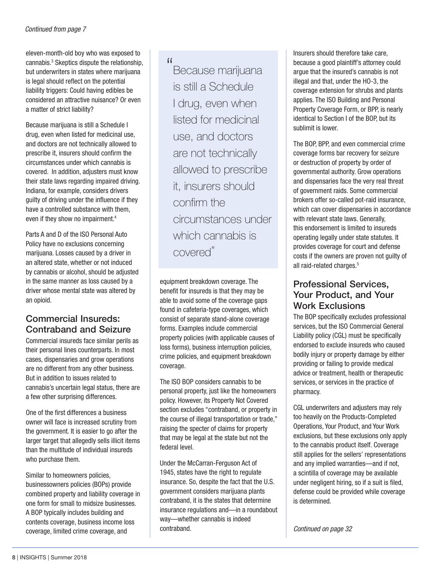eleven-month-old boy who was exposed to cannabis.3 Skeptics dispute the relationship, but underwriters in states where marijuana is legal should reflect on the potential liability triggers: Could having edibles be considered an attractive nuisance? Or even a matter of strict liability?

Because marijuana is still a Schedule I drug, even when listed for medicinal use, and doctors are not technically allowed to prescribe it, insurers should confirm the circumstances under which cannabis is covered. In addition, adjusters must know their state laws regarding impaired driving. Indiana, for example, considers drivers guilty of driving under the influence if they have a controlled substance with them, even if they show no impairment.<sup>4</sup>

Parts A and D of the ISO Personal Auto Policy have no exclusions concerning marijuana. Losses caused by a driver in an altered state, whether or not induced by cannabis or alcohol, should be adjusted in the same manner as loss caused by a driver whose mental state was altered by an opioid.

#### Commercial Insureds: Contraband and Seizure

Commercial insureds face similar perils as their personal lines counterparts. In most cases, dispensaries and grow operations are no different from any other business. But in addition to issues related to cannabis's uncertain legal status, there are a few other surprising differences.

One of the first differences a business owner will face is increased scrutiny from the government. It is easier to go after the larger target that allegedly sells illicit items than the multitude of individual insureds who purchase them.

Similar to homeowners policies, businessowners policies (BOPs) provide combined property and liability coverage in one form for small to midsize businesses. A BOP typically includes building and contents coverage, business income loss coverage, limited crime coverage, and

#### "

Because marijuana is still a Schedule I drug, even when listed for medicinal use, and doctors are not technically allowed to prescribe it, insurers should confirm the circumstances under which cannabis is covered"

equipment breakdown coverage. The benefit for insureds is that they may be able to avoid some of the coverage gaps found in cafeteria-type coverages, which consist of separate stand-alone coverage forms. Examples include commercial property policies (with applicable causes of loss forms), business interruption policies, crime policies, and equipment breakdown coverage.

The ISO BOP considers cannabis to be personal property, just like the homeowners policy. However, its Property Not Covered section excludes "contraband, or property in the course of illegal transportation or trade," raising the specter of claims for property that may be legal at the state but not the federal level.

Under the McCarran-Ferguson Act of 1945, states have the right to regulate insurance. So, despite the fact that the U.S. government considers marijuana plants contraband, it is the states that determine insurance regulations and—in a roundabout way—whether cannabis is indeed contraband.

Insurers should therefore take care, because a good plaintiff's attorney could argue that the insured's cannabis is not illegal and that, under the HO-3, the coverage extension for shrubs and plants applies. The ISO Building and Personal Property Coverage Form, or BPP, is nearly identical to Section I of the BOP, but its sublimit is lower.

The BOP, BPP, and even commercial crime coverage forms bar recovery for seizure or destruction of property by order of governmental authority. Grow operations and dispensaries face the very real threat of government raids. Some commercial brokers offer so-called pot-raid insurance, which can cover dispensaries in accordance with relevant state laws. Generally, this endorsement is limited to insureds operating legally under state statutes. It provides coverage for court and defense costs if the owners are proven not guilty of all raid-related charges.<sup>5</sup>

#### Professional Services, Your Product, and Your Work Exclusions

The BOP specifically excludes professional services, but the ISO Commercial General Liability policy (CGL) must be specifically endorsed to exclude insureds who caused bodily injury or property damage by either providing or failing to provide medical advice or treatment, health or therapeutic services, or services in the practice of pharmacy.

CGL underwriters and adjusters may rely too heavily on the Products-Completed Operations, Your Product, and Your Work exclusions, but these exclusions only apply to the cannabis product itself. Coverage still applies for the sellers' representations and any implied warranties—and if not, a scintilla of coverage may be available under negligent hiring, so if a suit is filed, defense could be provided while coverage is determined.

*Continued on page 32*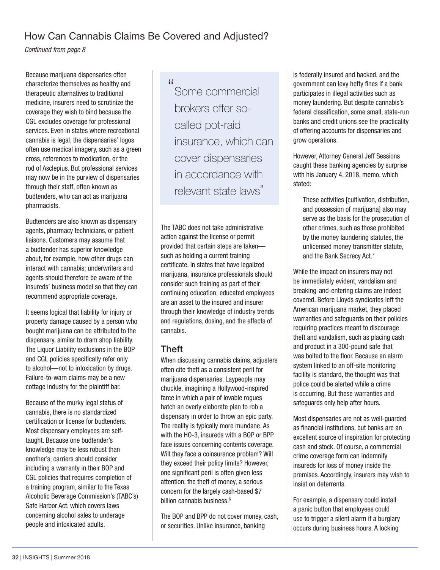#### How Can Cannabis Claims Be Covered and Adjusted?

*Continued from page 8* 

Because marijuana dispensaries often characterize themselves as healthy and therapeutic alternatives to traditional medicine, insurers need to scrutinize the coverage they wish to bind because the CGL excludes coverage for professional services. Even in states where recreational cannabis is legal, the dispensaries' logos often use medical imagery, such as a green cross, references to medication, or the rod of Asclepius. But professional services may now be in the purview of dispensaries through their staff, often known as budtenders, who can act as marijuana pharmacists.

Budtenders are also known as dispensary agents, pharmacy technicians, or patient liaisons. Customers may assume that a budtender has superior knowledge about, for example, how other drugs can interact with cannabis; underwriters and agents should therefore be aware of the insureds' business model so that they can recommend appropriate coverage.

It seems logical that liability for injury or property damage caused by a person who bought marijuana can be attributed to the dispensary, similar to dram shop liability. The Liquor Liability exclusions in the BOP and CGL policies specifically refer only to alcohol—not to intoxication by drugs. Failure-to-warn claims may be a new cottage industry for the plaintiff bar.

Because of the murky legal status of cannabis, there is no standardized certification or license for budtenders. Most dispensary employees are selftaught. Because one budtender's knowledge may be less robust than another's, carriers should consider including a warranty in their BOP and CGL policies that requires completion of a training program, similar to the Texas Alcoholic Beverage Commission's (TABC's) Safe Harbor Act, which covers laws concerning alcohol sales to underage people and intoxicated adults.

"

Some commercial brokers offer socalled pot-raid insurance, which can cover dispensaries in accordance with relevant state laws"

The TABC does not take administrative action against the license or permit provided that certain steps are taken such as holding a current training certificate. In states that have legalized marijuana, insurance professionals should consider such training as part of their continuing education; educated employees are an asset to the insured and insurer through their knowledge of industry trends and regulations, dosing, and the effects of cannabis.

#### Theft

When discussing cannabis claims, adjusters often cite theft as a consistent peril for marijuana dispensaries. Laypeople may chuckle, imagining a Hollywood-inspired farce in which a pair of lovable rogues hatch an overly elaborate plan to rob a dispensary in order to throw an epic party. The reality is typically more mundane. As with the HO-3, insureds with a BOP or BPP face issues concerning contents coverage. Will they face a coinsurance problem? Will they exceed their policy limits? However, one significant peril is often given less attention: the theft of money, a serious concern for the largely cash-based \$7 billion cannabis business.<sup>6</sup>

The BOP and BPP do not cover money, cash, or securities. Unlike insurance, banking

is federally insured and backed, and the government can levy hefty fines if a bank participates in illegal activities such as money laundering. But despite cannabis's federal classification, some small, state-run banks and credit unions see the practicality of offering accounts for dispensaries and grow operations.

However, Attorney General Jeff Sessions caught these banking agencies by surprise with his January 4, 2018, memo, which stated:

These activities [cultivation, distribution, and possession of marijuana] also may serve as the basis for the prosecution of other crimes, such as those prohibited by the money laundering statutes, the unlicensed money transmitter statute, and the Bank Secrecy Act.7

While the impact on insurers may not be immediately evident, vandalism and breaking-and-entering claims are indeed covered. Before Lloyds syndicates left the American marijuana market, they placed warranties and safeguards on their policies requiring practices meant to discourage theft and vandalism, such as placing cash and product in a 300-pound safe that was bolted to the floor. Because an alarm system linked to an off-site monitoring facility is standard, the thought was that police could be alerted while a crime is occurring. But these warranties and safeguards only help after hours.

Most dispensaries are not as well-guarded as financial institutions, but banks are an excellent source of inspiration for protecting cash and stock. Of course, a commercial crime coverage form can indemnify insureds for loss of money inside the premises. Accordingly, insurers may wish to insist on deterrents.

For example, a dispensary could install a panic button that employees could use to trigger a silent alarm if a burglary occurs during business hours. A locking